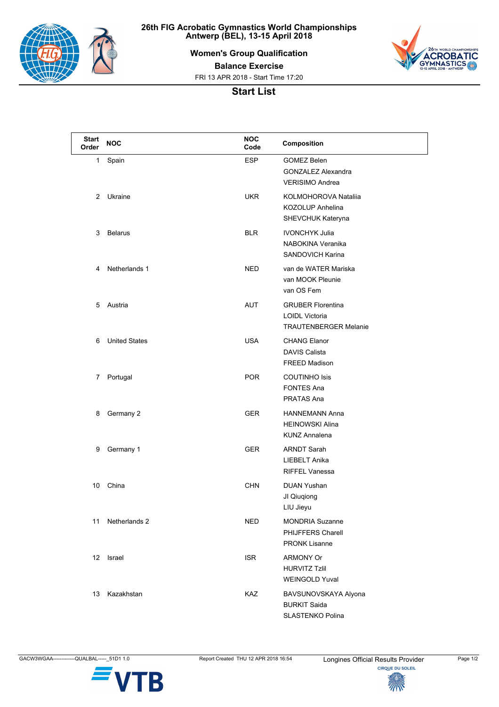

**26th FIG Acrobatic Gymnastics World Championships Antwerp (BEL), 13-15 April 2018**

**Women's Group Qualification**



**Balance Exercise**

FRI 13 APR 2018 - Start Time 17:20

## **Start List**

| <b>Start</b><br>Order | <b>NOC</b>           | <b>NOC</b><br>Code | Composition                                                                |
|-----------------------|----------------------|--------------------|----------------------------------------------------------------------------|
| 1                     | Spain                | <b>ESP</b>         | <b>GOMEZ Belen</b><br><b>GONZALEZ Alexandra</b><br>VERISIMO Andrea         |
| 2                     | Ukraine              | <b>UKR</b>         | KOLMOHOROVA Nataliia<br>KOZOLUP Anhelina<br>SHEVCHUK Kateryna              |
| 3                     | <b>Belarus</b>       | <b>BLR</b>         | <b>IVONCHYK Julia</b><br>NABOKINA Veranika<br>SANDOVICH Karina             |
| 4                     | Netherlands 1        | <b>NED</b>         | van de WATER Mariska<br>van MOOK Pleunie<br>van OS Fem                     |
| 5                     | Austria              | <b>AUT</b>         | <b>GRUBER Florentina</b><br>LOIDL Victoria<br><b>TRAUTENBERGER Melanie</b> |
| 6                     | <b>United States</b> | <b>USA</b>         | <b>CHANG Elanor</b><br><b>DAVIS Calista</b><br>FREED Madison               |
| 7                     | Portugal             | <b>POR</b>         | <b>COUTINHO Isis</b><br><b>FONTES Ana</b><br><b>PRATAS Ana</b>             |
| 8                     | Germany 2            | <b>GER</b>         | <b>HANNEMANN Anna</b><br><b>HEINOWSKI Alina</b><br><b>KUNZ Annalena</b>    |
| 9                     | Germany 1            | <b>GER</b>         | <b>ARNDT Sarah</b><br>LIEBELT Anika<br><b>RIFFEL Vanessa</b>               |
| 10                    | China                | <b>CHN</b>         | <b>DUAN Yushan</b><br>JI Qiugiong<br>LIU Jieyu                             |
| 11                    | Netherlands 2        | NED                | <b>MONDRIA Suzanne</b><br>PHIJFFERS Charell<br><b>PRONK Lisanne</b>        |
| 12 <sup>°</sup>       | Israel               | <b>ISR</b>         | <b>ARMONY Or</b><br><b>HURVITZ Tzlil</b><br><b>WEINGOLD Yuval</b>          |
| 13                    | Kazakhstan           | <b>KAZ</b>         | BAVSUNOVSKAYA Alyona<br><b>BURKIT Saida</b><br>SLASTENKO Polina            |